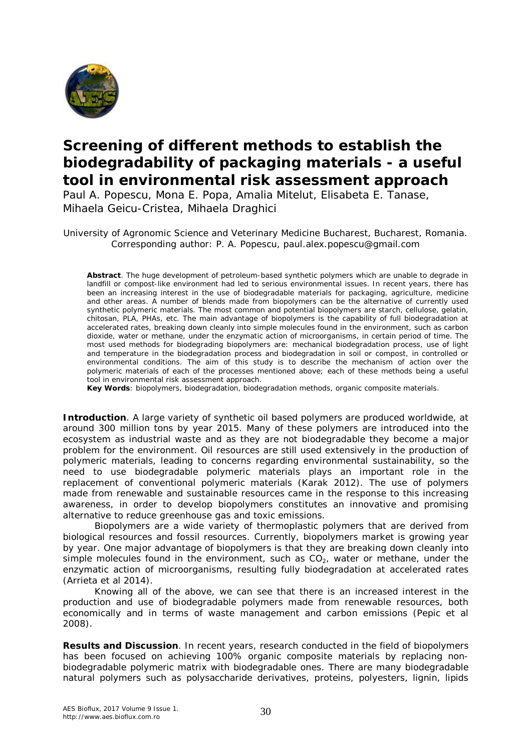

## **Screening of different methods to establish the biodegradability of packaging materials - a useful tool in environmental risk assessment approach**

Paul A. Popescu, Mona E. Popa, Amalia Mitelut, Elisabeta E. Tanase, Mihaela Geicu-Cristea, Mihaela Draghici

University of Agronomic Science and Veterinary Medicine Bucharest, Bucharest, Romania. Corresponding author: P. A. Popescu, paul.alex.popescu@gmail.com

**Abstract**. The huge development of petroleum-based synthetic polymers which are unable to degrade in landfill or compost-like environment had led to serious environmental issues. In recent years, there has been an increasing interest in the use of biodegradable materials for packaging, agriculture, medicine and other areas. A number of blends made from biopolymers can be the alternative of currently used synthetic polymeric materials. The most common and potential biopolymers are starch, cellulose, gelatin, chitosan, PLA, PHAs, etc. The main advantage of biopolymers is the capability of full biodegradation at accelerated rates, breaking down cleanly into simple molecules found in the environment, such as carbon dioxide, water or methane, under the enzymatic action of microorganisms, in certain period of time. The most used methods for biodegrading biopolymers are: mechanical biodegradation process, use of light and temperature in the biodegradation process and biodegradation in soil or compost, in controlled or environmental conditions. The aim of this study is to describe the mechanism of action over the polymeric materials of each of the processes mentioned above; each of these methods being a useful tool in environmental risk assessment approach.

**Key Words**: biopolymers, biodegradation, biodegradation methods, organic composite materials.

**Introduction**. A large variety of synthetic oil based polymers are produced worldwide, at around 300 million tons by year 2015. Many of these polymers are introduced into the ecosystem as industrial waste and as they are not biodegradable they become a major problem for the environment. Oil resources are still used extensively in the production of polymeric materials, leading to concerns regarding environmental sustainability, so the need to use biodegradable polymeric materials plays an important role in the replacement of conventional polymeric materials (Karak 2012). The use of polymers made from renewable and sustainable resources came in the response to this increasing awareness, in order to develop biopolymers constitutes an innovative and promising alternative to reduce greenhouse gas and toxic emissions.

Biopolymers are a wide variety of thermoplastic polymers that are derived from biological resources and fossil resources. Currently, biopolymers market is growing year by year. One major advantage of biopolymers is that they are breaking down cleanly into simple molecules found in the environment, such as  $CO<sub>2</sub>$ , water or methane, under the enzymatic action of microorganisms, resulting fully biodegradation at accelerated rates (Arrieta et al 2014).

Knowing all of the above, we can see that there is an increased interest in the production and use of biodegradable polymers made from renewable resources, both economically and in terms of waste management and carbon emissions (Pepic et al 2008).

**Results and Discussion**. In recent years, research conducted in the field of biopolymers has been focused on achieving 100% organic composite materials by replacing nonbiodegradable polymeric matrix with biodegradable ones. There are many biodegradable natural polymers such as polysaccharide derivatives, proteins, polyesters, lignin, lipids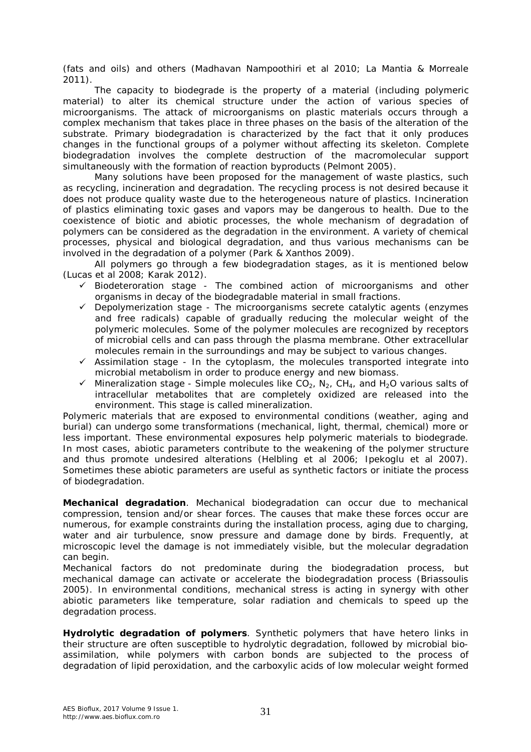(fats and oils) and others (Madhavan Nampoothiri et al 2010; La Mantia & Morreale 2011).

The capacity to biodegrade is the property of a material (including polymeric material) to alter its chemical structure under the action of various species of microorganisms. The attack of microorganisms on plastic materials occurs through a complex mechanism that takes place in three phases on the basis of the alteration of the substrate. Primary biodegradation is characterized by the fact that it only produces changes in the functional groups of a polymer without affecting its skeleton. Complete biodegradation involves the complete destruction of the macromolecular support simultaneously with the formation of reaction byproducts (Pelmont 2005).

Many solutions have been proposed for the management of waste plastics, such as recycling, incineration and degradation. The recycling process is not desired because it does not produce quality waste due to the heterogeneous nature of plastics. Incineration of plastics eliminating toxic gases and vapors may be dangerous to health. Due to the coexistence of biotic and abiotic processes, the whole mechanism of degradation of polymers can be considered as the degradation in the environment. A variety of chemical processes, physical and biological degradation, and thus various mechanisms can be involved in the degradation of a polymer (Park & Xanthos 2009).

All polymers go through a few biodegradation stages, as it is mentioned below (Lucas et al 2008; Karak 2012).

- $\checkmark$  Biodeteroration stage The combined action of microorganisms and other organisms in decay of the biodegradable material in small fractions.
- $\checkmark$  Depolymerization stage The microorganisms secrete catalytic agents (enzymes and free radicals) capable of gradually reducing the molecular weight of the polymeric molecules. Some of the polymer molecules are recognized by receptors of microbial cells and can pass through the plasma membrane. Other extracellular molecules remain in the surroundings and may be subject to various changes.
- $\checkmark$  Assimilation stage In the cytoplasm, the molecules transported integrate into microbial metabolism in order to produce energy and new biomass.
- $\checkmark$  Mineralization stage Simple molecules like CO<sub>2</sub>, N<sub>2</sub>, CH<sub>4</sub>, and H<sub>2</sub>O various salts of intracellular metabolites that are completely oxidized are released into the environment. This stage is called mineralization.

Polymeric materials that are exposed to environmental conditions (weather, aging and burial) can undergo some transformations (mechanical, light, thermal, chemical) more or less important. These environmental exposures help polymeric materials to biodegrade. In most cases, abiotic parameters contribute to the weakening of the polymer structure and thus promote undesired alterations (Helbling et al 2006; Ipekoglu et al 2007). Sometimes these abiotic parameters are useful as synthetic factors or initiate the process of biodegradation.

*Mechanical degradation*. Mechanical biodegradation can occur due to mechanical compression, tension and/or shear forces. The causes that make these forces occur are numerous, for example constraints during the installation process, aging due to charging, water and air turbulence, snow pressure and damage done by birds. Frequently, at microscopic level the damage is not immediately visible, but the molecular degradation can begin.

Mechanical factors do not predominate during the biodegradation process, but mechanical damage can activate or accelerate the biodegradation process (Briassoulis 2005). In environmental conditions, mechanical stress is acting in synergy with other abiotic parameters like temperature, solar radiation and chemicals to speed up the degradation process.

*Hydrolytic degradation of polymers*. Synthetic polymers that have hetero links in their structure are often susceptible to hydrolytic degradation, followed by microbial bioassimilation, while polymers with carbon bonds are subjected to the process of degradation of lipid peroxidation, and the carboxylic acids of low molecular weight formed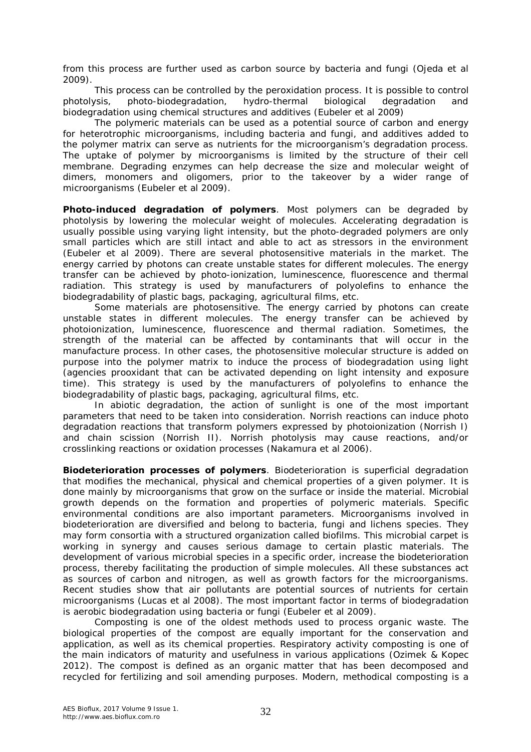from this process are further used as carbon source by bacteria and fungi (Ojeda et al 2009).

This process can be controlled by the peroxidation process. It is possible to control photolysis, photo-biodegradation, hydro-thermal biological degradation and biodegradation using chemical structures and additives (Eubeler et al 2009)

The polymeric materials can be used as a potential source of carbon and energy for heterotrophic microorganisms, including bacteria and fungi, and additives added to the polymer matrix can serve as nutrients for the microorganism's degradation process. The uptake of polymer by microorganisms is limited by the structure of their cell membrane. Degrading enzymes can help decrease the size and molecular weight of dimers, monomers and oligomers, prior to the takeover by a wider range of microorganisms (Eubeler et al 2009).

*Photo-induced degradation of polymers*. Most polymers can be degraded by photolysis by lowering the molecular weight of molecules. Accelerating degradation is usually possible using varying light intensity, but the photo-degraded polymers are only small particles which are still intact and able to act as stressors in the environment (Eubeler et al 2009). There are several photosensitive materials in the market. The energy carried by photons can create unstable states for different molecules. The energy transfer can be achieved by photo-ionization, luminescence, fluorescence and thermal radiation. This strategy is used by manufacturers of polyolefins to enhance the biodegradability of plastic bags, packaging, agricultural films, etc.

Some materials are photosensitive. The energy carried by photons can create unstable states in different molecules. The energy transfer can be achieved by photoionization, luminescence, fluorescence and thermal radiation. Sometimes, the strength of the material can be affected by contaminants that will occur in the manufacture process. In other cases, the photosensitive molecular structure is added on purpose into the polymer matrix to induce the process of biodegradation using light (agencies prooxidant that can be activated depending on light intensity and exposure time). This strategy is used by the manufacturers of polyolefins to enhance the biodegradability of plastic bags, packaging, agricultural films, etc.

In abiotic degradation, the action of sunlight is one of the most important parameters that need to be taken into consideration. Norrish reactions can induce photo degradation reactions that transform polymers expressed by photoionization (Norrish I) and chain scission (Norrish II). Norrish photolysis may cause reactions, and/or crosslinking reactions or oxidation processes (Nakamura et al 2006).

*Biodeterioration processes of polymers*. Biodeterioration is superficial degradation that modifies the mechanical, physical and chemical properties of a given polymer. It is done mainly by microorganisms that grow on the surface or inside the material. Microbial growth depends on the formation and properties of polymeric materials. Specific environmental conditions are also important parameters. Microorganisms involved in biodeterioration are diversified and belong to bacteria, fungi and lichens species. They may form consortia with a structured organization called biofilms. This microbial carpet is working in synergy and causes serious damage to certain plastic materials. The development of various microbial species in a specific order, increase the biodeterioration process, thereby facilitating the production of simple molecules. All these substances act as sources of carbon and nitrogen, as well as growth factors for the microorganisms. Recent studies show that air pollutants are potential sources of nutrients for certain microorganisms (Lucas et al 2008). The most important factor in terms of biodegradation is aerobic biodegradation using bacteria or fungi (Eubeler et al 2009).

Composting is one of the oldest methods used to process organic waste. The biological properties of the compost are equally important for the conservation and application, as well as its chemical properties. Respiratory activity composting is one of the main indicators of maturity and usefulness in various applications (Ozimek & Kopec 2012). The compost is defined as an organic matter that has been decomposed and recycled for fertilizing and soil amending purposes. Modern, methodical composting is a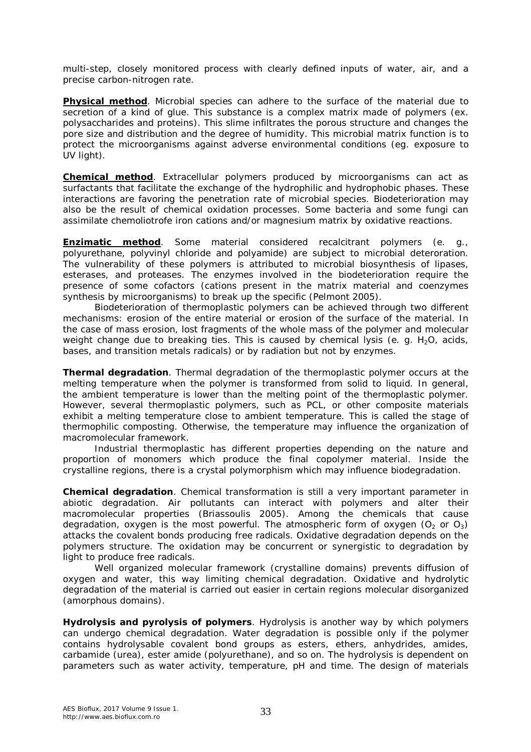multi-step, closely monitored process with clearly defined inputs of water, air, and a precise carbon-nitrogen rate.

**Physical method**. Microbial species can adhere to the surface of the material due to secretion of a kind of glue. This substance is a complex matrix made of polymers (ex. polysaccharides and proteins). This slime infiltrates the porous structure and changes the pore size and distribution and the degree of humidity. This microbial matrix function is to protect the microorganisms against adverse environmental conditions (eg. exposure to UV light).

*Chemical method*. Extracellular polymers produced by microorganisms can act as surfactants that facilitate the exchange of the hydrophilic and hydrophobic phases. These interactions are favoring the penetration rate of microbial species. Biodeterioration may also be the result of chemical oxidation processes. Some bacteria and some fungi can assimilate chemoliotrofe iron cations and/or magnesium matrix by oxidative reactions.

*Enzimatic method*. Some material considered recalcitrant polymers (e. g., polyurethane, polyvinyl chloride and polyamide) are subject to microbial deteroration. The vulnerability of these polymers is attributed to microbial biosynthesis of lipases, esterases, and proteases. The enzymes involved in the biodeterioration require the presence of some cofactors (cations present in the matrix material and coenzymes synthesis by microorganisms) to break up the specific (Pelmont 2005).

Biodeterioration of thermoplastic polymers can be achieved through two different mechanisms: erosion of the entire material or erosion of the surface of the material. In the case of mass erosion, lost fragments of the whole mass of the polymer and molecular weight change due to breaking ties. This is caused by chemical lysis (e. g.  $H_2O$ , acids, bases, and transition metals radicals) or by radiation but not by enzymes.

*Thermal degradation*. Thermal degradation of the thermoplastic polymer occurs at the melting temperature when the polymer is transformed from solid to liquid. In general, the ambient temperature is lower than the melting point of the thermoplastic polymer. However, several thermoplastic polymers, such as PCL, or other composite materials exhibit a melting temperature close to ambient temperature. This is called the stage of thermophilic composting. Otherwise, the temperature may influence the organization of macromolecular framework.

Industrial thermoplastic has different properties depending on the nature and proportion of monomers which produce the final copolymer material. Inside the crystalline regions, there is a crystal polymorphism which may influence biodegradation.

*Chemical degradation*. Chemical transformation is still a very important parameter in abiotic degradation. Air pollutants can interact with polymers and alter their macromolecular properties (Briassoulis 2005). Among the chemicals that cause degradation, oxygen is the most powerful. The atmospheric form of oxygen ( $O_2$  or  $O_3$ ) attacks the covalent bonds producing free radicals. Oxidative degradation depends on the polymers structure. The oxidation may be concurrent or synergistic to degradation by light to produce free radicals.

Well organized molecular framework (crystalline domains) prevents diffusion of oxygen and water, this way limiting chemical degradation. Oxidative and hydrolytic degradation of the material is carried out easier in certain regions molecular disorganized (amorphous domains).

*Hydrolysis and pyrolysis of polymers*. Hydrolysis is another way by which polymers can undergo chemical degradation. Water degradation is possible only if the polymer contains hydrolysable covalent bond groups as esters, ethers, anhydrides, amides, carbamide (urea), ester amide (polyurethane), and so on. The hydrolysis is dependent on parameters such as water activity, temperature, pH and time. The design of materials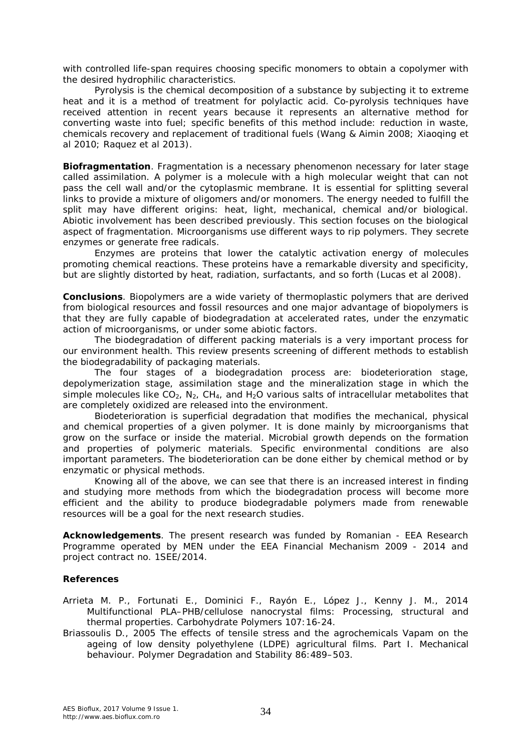with controlled life-span requires choosing specific monomers to obtain a copolymer with the desired hydrophilic characteristics.

Pyrolysis is the chemical decomposition of a substance by subjecting it to extreme heat and it is a method of treatment for polylactic acid. Co-pyrolysis techniques have received attention in recent years because it represents an alternative method for converting waste into fuel; specific benefits of this method include: reduction in waste, chemicals recovery and replacement of traditional fuels (Wang & Aimin 2008; Xiaoqing et al 2010; Raquez et al 2013).

*Biofragmentation*. Fragmentation is a necessary phenomenon necessary for later stage called assimilation. A polymer is a molecule with a high molecular weight that can not pass the cell wall and/or the cytoplasmic membrane. It is essential for splitting several links to provide a mixture of oligomers and/or monomers. The energy needed to fulfill the split may have different origins: heat, light, mechanical, chemical and/or biological. Abiotic involvement has been described previously. This section focuses on the biological aspect of fragmentation. Microorganisms use different ways to rip polymers. They secrete enzymes or generate free radicals.

Enzymes are proteins that lower the catalytic activation energy of molecules promoting chemical reactions. These proteins have a remarkable diversity and specificity, but are slightly distorted by heat, radiation, surfactants, and so forth (Lucas et al 2008).

**Conclusions**. Biopolymers are a wide variety of thermoplastic polymers that are derived from biological resources and fossil resources and one major advantage of biopolymers is that they are fully capable of biodegradation at accelerated rates, under the enzymatic action of microorganisms, or under some abiotic factors.

The biodegradation of different packing materials is a very important process for our environment health. This review presents screening of different methods to establish the biodegradability of packaging materials.

The four stages of a biodegradation process are: biodeterioration stage, depolymerization stage, assimilation stage and the mineralization stage in which the simple molecules like  $CO_2$ ,  $N_2$ ,  $CH_4$ , and  $H_2O$  various salts of intracellular metabolites that are completely oxidized are released into the environment.

Biodeterioration is superficial degradation that modifies the mechanical, physical and chemical properties of a given polymer. It is done mainly by microorganisms that grow on the surface or inside the material. Microbial growth depends on the formation and properties of polymeric materials. Specific environmental conditions are also important parameters. The biodeterioration can be done either by chemical method or by enzymatic or physical methods.

Knowing all of the above, we can see that there is an increased interest in finding and studying more methods from which the biodegradation process will become more efficient and the ability to produce biodegradable polymers made from renewable resources will be a goal for the next research studies.

**Acknowledgements**. The present research was funded by Romanian - EEA Research Programme operated by MEN under the EEA Financial Mechanism 2009 - 2014 and project contract no. 1SEE/2014.

## **References**

- Arrieta M. P., Fortunati E., Dominici F., Rayón E., López J., Kenny J. M., 2014 Multifunctional PLA–PHB/cellulose nanocrystal films: Processing, structural and thermal properties. Carbohydrate Polymers 107:16-24.
- Briassoulis D., 2005 The effects of tensile stress and the agrochemicals Vapam on the ageing of low density polyethylene (LDPE) agricultural films. Part I. Mechanical behaviour. Polymer Degradation and Stability 86:489–503.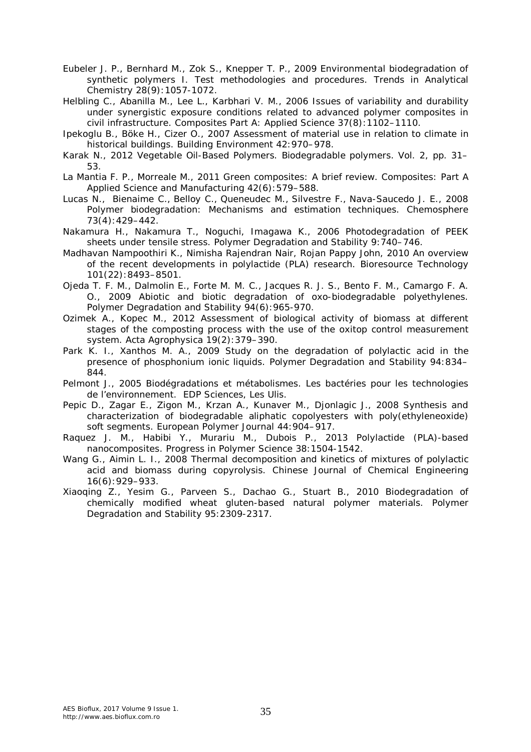- Eubeler J. P., Bernhard M., Zok S., Knepper T. P., 2009 Environmental biodegradation of synthetic polymers I. Test methodologies and procedures. Trends in Analytical Chemistry 28(9):1057-1072.
- Helbling C., Abanilla M., Lee L., Karbhari V. M., 2006 Issues of variability and durability under synergistic exposure conditions related to advanced polymer composites in civil infrastructure. Composites Part A: Applied Science 37(8):1102–1110.
- Ipekoglu B., Böke H., Cizer O., 2007 Assessment of material use in relation to climate in historical buildings. Building Environment 42:970–978.
- Karak N., 2012 Vegetable Oil-Based Polymers. Biodegradable polymers. Vol. 2, pp. 31– 53.
- La Mantia F. P., Morreale M., 2011 Green composites: A brief review. Composites: Part A Applied Science and Manufacturing 42(6):579–588.
- Lucas N., Bienaime C., Belloy C., Queneudec M., Silvestre F., Nava-Saucedo J. E., 2008 Polymer biodegradation: Mechanisms and estimation techniques. Chemosphere 73(4):429–442.
- Nakamura H., Nakamura T., Noguchi, Imagawa K., 2006 Photodegradation of PEEK sheets under tensile stress. Polymer Degradation and Stability 9:740–746.
- Madhavan Nampoothiri K., Nimisha Rajendran Nair, Rojan Pappy John, 2010 An overview of the recent developments in polylactide (PLA) research. Bioresource Technology 101(22):8493–8501.
- Ojeda T. F. M., Dalmolin E., Forte M. M. C., Jacques R. J. S., Bento F. M., Camargo F. A. O., 2009 Abiotic and biotic degradation of oxo-biodegradable polyethylenes. Polymer Degradation and Stability 94(6):965-970.
- Ozimek A., Kopec M., 2012 Assessment of biological activity of biomass at different stages of the composting process with the use of the oxitop control measurement system. Acta Agrophysica 19(2):379–390.
- Park K. I., Xanthos M. A., 2009 Study on the degradation of polylactic acid in the presence of phosphonium ionic liquids. Polymer Degradation and Stability 94:834– 844.
- Pelmont J., 2005 Biodégradations et métabolismes. Les bactéries pour les technologies de l'environnement. EDP Sciences, Les Ulis.
- Pepic D., Zagar E., Zigon M., Krzan A., Kunaver M., Djonlagic J., 2008 Synthesis and characterization of biodegradable aliphatic copolyesters with poly(ethyleneoxide) soft segments. European Polymer Journal 44:904–917.
- Raquez J. M., Habibi Y., Murariu M., Dubois P., 2013 Polylactide (PLA)-based nanocomposites. Progress in Polymer Science 38:1504-1542.
- Wang G., Aimin L. I., 2008 Thermal decomposition and kinetics of mixtures of polylactic acid and biomass during copyrolysis. Chinese Journal of Chemical Engineering 16(6):929–933.
- Xiaoqing Z., Yesim G., Parveen S., Dachao G., Stuart B., 2010 Biodegradation of chemically modified wheat gluten-based natural polymer materials. Polymer Degradation and Stability 95:2309-2317.